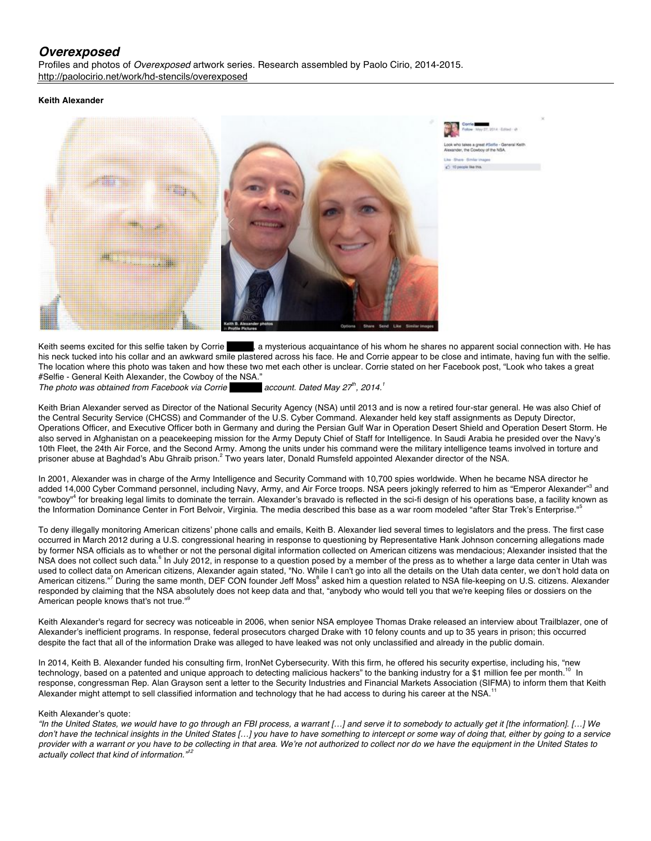# *Overexposed*

Profiles and photos of *Overexposed* artwork series. Research assembled by Paolo Cirio, 2014-2015. http://paolocirio.net/work/hd-stencils/overexposed

# **Keith Alexander**



Keith seems excited for this selfie taken by Corrie **Becker and secutation** acquaintance of his whom he shares no apparent social connection with. He has his neck tucked into his collar and an awkward smile plastered across his face. He and Corrie appear to be close and intimate, having fun with the selfie. The location where this photo was taken and how these two met each other is unclear. Corrie stated on her Facebook post, "Look who takes a great #Selfie - General Keith Alexander, the Cowboy of the NSA."<br>The photo was obtained from Facebook via Corrie **Communist Containstance Alexander** account. Dated May 27<sup>th</sup>, 2014.<sup>1</sup>

*The photo was obtained from Facebook via Corrie Becker's account. Dated May 27th, 2014.1*

Keith Brian Alexander served as Director of the National Security Agency (NSA) until 2013 and is now a retired four-star general. He was also Chief of the Central Security Service (CHCSS) and Commander of the U.S. Cyber Command. Alexander held key staff assignments as Deputy Director, Operations Officer, and Executive Officer both in Germany and during the Persian Gulf War in Operation Desert Shield and Operation Desert Storm. He also served in Afghanistan on a peacekeeping mission for the Army Deputy Chief of Staff for Intelligence. In Saudi Arabia he presided over the Navy's 10th Fleet, the 24th Air Force, and the Second Army. Among the units under his command were the military intelligence teams involved in torture and prisoner abuse at Baghdad's Abu Ghraib prison.<sup>2</sup> Two years later, Donald Rumsfeld appointed Alexander director of the NSA.

In 2001, Alexander was in charge of the Army Intelligence and Security Command with 10,700 spies worldwide. When he became NSA director he added 14,000 Cyber Command personnel, including Navy, Army, and Air Force troops. NSA peers jokingly referred to him as "Emperor Alexander"<sup>3</sup> and "cowboy"<sup>4</sup> for breaking legal limits to dominate the terrain. Alexander's bravado is reflected in the sci-fi design of his operations base, a facility known as the Information Dominance Center in Fort Belvoir, Virginia. The media described this base as a war room modeled "after Star Trek's Enterprise."

To deny illegally monitoring American citizens' phone calls and emails, Keith B. Alexander lied several times to legislators and the press. The first case occurred in March 2012 during a U.S. congressional hearing in response to questioning by Representative Hank Johnson concerning allegations made by former NSA officials as to whether or not the personal digital information collected on American citizens was mendacious; Alexander insisted that the NSA does not collect such data.<sup>6</sup> In July 2012, in response to a question posed by a member of the press as to whether a large data center in Utah was used to collect data on American citizens, Alexander again stated, "No. While I can't go into all the details on the Utah data center, we don't hold data on American citizens."<sup>7</sup> During the same month, DEF CON founder Jeff Moss<sup>8</sup> asked him a question related to NSA file-keeping on U.S. citizens. Alexander responded by claiming that the NSA absolutely does not keep data and that, "anybody who would tell you that we're keeping files or dossiers on the American people knows that's not true."<sup>9</sup>

Keith Alexander's regard for secrecy was noticeable in 2006, when senior NSA employee Thomas Drake released an interview about Trailblazer, one of Alexander's inefficient programs. In response, federal prosecutors charged Drake with 10 felony counts and up to 35 years in prison; this occurred despite the fact that all of the information Drake was alleged to have leaked was not only unclassified and already in the public domain.

In 2014, Keith B. Alexander funded his consulting firm, IronNet Cybersecurity. With this firm, he offered his security expertise, including his, "new technology, based on a patented and unique approach to detecting malicious hackers" to the banking industry for a \$1 million fee per month.<sup>10</sup> In response, congressman Rep. Alan Grayson sent a letter to the Security Industries and Financial Markets Association (SIFMA) to inform them that Keith Alexander might attempt to sell classified information and technology that he had access to during his career at the NSA.<sup>11</sup>

# Keith Alexander's quote:

*"In the United States, we would have to go through an FBI process, a warrant […] and serve it to somebody to actually get it [the information]. […] We don't have the technical insights in the United States […] you have to have something to intercept or some way of doing that, either by going to a service*  provider with a warrant or you have to be collecting in that area. We're not authorized to collect nor do we have the equipment in the United States to *actually collect that kind of information."<sup>12</sup>*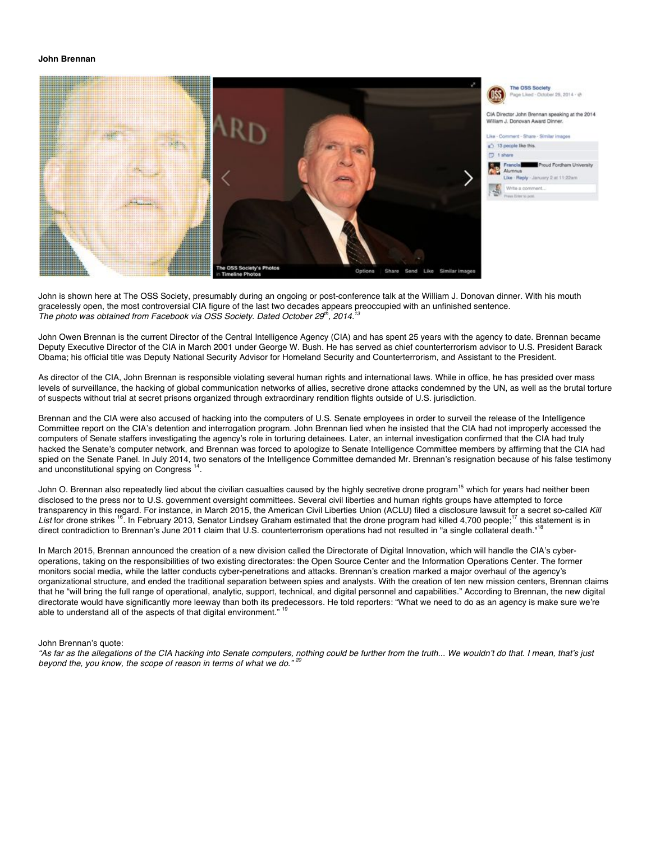#### **John Brennan**



John is shown here at The OSS Society, presumably during an ongoing or post-conference talk at the William J. Donovan dinner. With his mouth gracelessly open, the most controversial CIA figure of the last two decades appears preoccupied with an unfinished sentence. *The photo was obtained from Facebook via OSS Society. Dated October 29<sup>th</sup>, 2014.<sup>1</sup>* 

John Owen Brennan is the current Director of the Central Intelligence Agency (CIA) and has spent 25 years with the agency to date. Brennan became Deputy Executive Director of the CIA in March 2001 under George W. Bush. He has served as chief counterterrorism advisor to U.S. President Barack Obama; his official title was Deputy National Security Advisor for Homeland Security and Counterterrorism, and Assistant to the President.

As director of the CIA, John Brennan is responsible violating several human rights and international laws. While in office, he has presided over mass levels of surveillance, the hacking of global communication networks of allies, secretive drone attacks condemned by the UN, as well as the brutal torture of suspects without trial at secret prisons organized through extraordinary rendition flights outside of U.S. jurisdiction.

Brennan and the CIA were also accused of hacking into the computers of U.S. Senate employees in order to surveil the release of the Intelligence Committee report on the CIA's detention and interrogation program. John Brennan lied when he insisted that the CIA had not improperly accessed the computers of Senate staffers investigating the agency's role in torturing detainees. Later, an internal investigation confirmed that the CIA had truly hacked the Senate's computer network, and Brennan was forced to apologize to Senate Intelligence Committee members by affirming that the CIA had spied on the Senate Panel. In July 2014, two senators of the Intelligence Committee demanded Mr. Brennan's resignation because of his false testimony and unconstitutional spying on Congress<sup>14</sup>.

John O. Brennan also repeatedly lied about the civilian casualties caused by the highly secretive drone program<sup>15</sup> which for years had neither been disclosed to the press nor to U.S. government oversight committees. Several civil liberties and human rights groups have attempted to force transparency in this regard. For instance, in March 2015, the American Civil Liberties Union (ACLU) filed a disclosure lawsuit for a secret so-called *Kill*  List for drone strikes <sup>16</sup>. In February 2013, Senator Lindsey Graham estimated that the drone program had killed 4,700 people;<sup>17</sup> this statement is in direct contradiction to Brennan's June 2011 claim that U.S. counterterrorism operations had not resulted in "a single collateral death."<sup>18</sup>

In March 2015, Brennan announced the creation of a new division called the Directorate of Digital Innovation, which will handle the CIA's cyberoperations, taking on the responsibilities of two existing directorates: the Open Source Center and the Information Operations Center. The former monitors social media, while the latter conducts cyber-penetrations and attacks. Brennan's creation marked a major overhaul of the agency's organizational structure, and ended the traditional separation between spies and analysts. With the creation of ten new mission centers, Brennan claims that he "will bring the full range of operational, analytic, support, technical, and digital personnel and capabilities." According to Brennan, the new digital directorate would have significantly more leeway than both its predecessors. He told reporters: "What we need to do as an agency is make sure we're able to understand all of the aspects of that digital environment."

#### John Brennan's quote:

*"As far as the allegations of the CIA hacking into Senate computers, nothing could be further from the truth... We wouldn't do that. I mean, that's just beyond the, you know, the scope of reason in terms of what we do." <sup>20</sup>*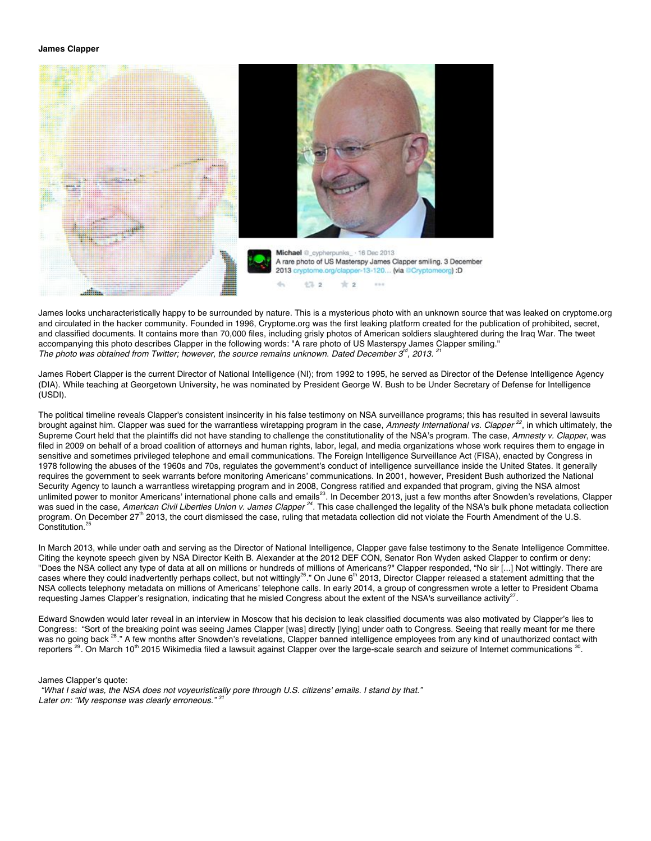#### **James Clapper**



James looks uncharacteristically happy to be surrounded by nature. This is a mysterious photo with an unknown source that was leaked on cryptome.org and circulated in the hacker community. Founded in 1996, Cryptome.org was the first leaking platform created for the publication of prohibited, secret, and classified documents. It contains more than 70,000 files, including grisly photos of American soldiers slaughtered during the Iraq War. The tweet accompanying this photo describes Clapper in the following words: "A rare photo of US Masterspy James Clapper smiling." *The photo was obtained from Twitter; however, the source remains unknown. Dated December 3<sup><i>d</sup>*, 2013. <sup>2</sup></sup>

James Robert Clapper is the current Director of National Intelligence (NI); from 1992 to 1995, he served as Director of the Defense Intelligence Agency (DIA). While teaching at Georgetown University, he was nominated by President George W. Bush to be Under Secretary of Defense for Intelligence (USDI).

The political timeline reveals Clapper's consistent insincerity in his false testimony on NSA surveillance programs; this has resulted in several lawsuits brought against him. Clapper was sued for the warrantless wiretapping program in the case, *Amnesty International vs. Clapper <sup>22</sup>*, in which ultimately, the Supreme Court held that the plaintiffs did not have standing to challenge the constitutionality of the NSA's program. The case, *Amnesty v. Clapper*, was filed in 2009 on behalf of a broad coalition of attorneys and human rights, labor, legal, and media organizations whose work requires them to engage in sensitive and sometimes privileged telephone and email communications. The Foreign Intelligence Surveillance Act (FISA), enacted by Congress in 1978 following the abuses of the 1960s and 70s, regulates the government's conduct of intelligence surveillance inside the United States. It generally requires the government to seek warrants before monitoring Americans' communications. In 2001, however, President Bush authorized the National Security Agency to launch a warrantless wiretapping program and in 2008, Congress ratified and expanded that program, giving the NSA almost unlimited power to monitor Americans' international phone calls and emails<sup>23</sup>. In December 2013, just a few months after Snowden's revelations, Clapper was sued in the case, American Civil Liberties Union v. James Clapper<sup>24</sup>. This case challenged the legality of the NSA's bulk phone metadata collection program. On December 27<sup>th</sup> 2013, the court dismissed the case, ruling that metadata collection did not violate the Fourth Amendment of the U.S. Constitution.<sup>2</sup>

In March 2013, while under oath and serving as the Director of National Intelligence, Clapper gave false testimony to the Senate Intelligence Committee. Citing the keynote speech given by NSA Director Keith B. Alexander at the 2012 DEF CON, Senator Ron Wyden asked Clapper to confirm or deny: "Does the NSA collect any type of data at all on millions or hundreds of millions of Americans?" Clapper responded, "No sir [...] Not wittingly. There are cases where they could inadvertently perhaps collect, but not wittingly<sup>26</sup>." On June 6<sup>th</sup> 2013, Director Clapper released a statement admitting that the NSA collects telephony metadata on millions of Americans' telephone calls. In early 2014, a group of congressmen wrote a letter to President Obama requesting James Clapper's resignation, indicating that he misled Congress about the extent of the NSA's surveillance activity<sup>27</sup>.

Edward Snowden would later reveal in an interview in Moscow that his decision to leak classified documents was also motivated by Clapper's lies to Congress: "Sort of the breaking point was seeing James Clapper [was] directly [lying] under oath to Congress. Seeing that really meant for me there was no going back <sup>28</sup>." A few months after Snowden's revelations, Clapper banned intelligence employees from any kind of unauthorized contact with reporters<sup>29</sup>. On March 10<sup>th</sup> 2015 Wikimedia filed a lawsuit against Clapper over the large-scale search and seizure of Internet communications

James Clapper's quote:

*"What I said was, the NSA does not voyeuristically pore through U.S. citizens' emails. I stand by that."*  Later on: "My response was clearly erroneous."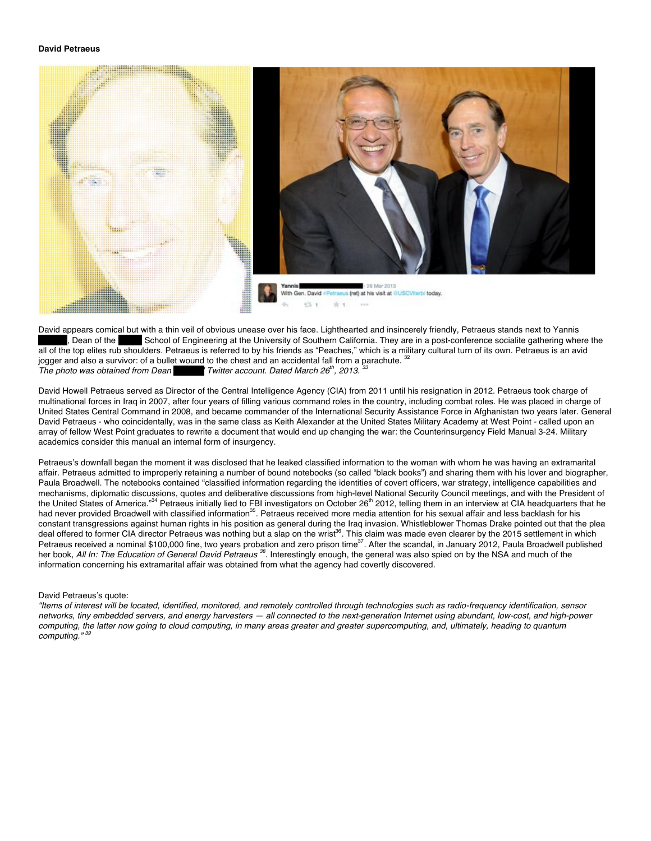

David appears comical but with a thin veil of obvious unease over his face. Lighthearted and insincerely friendly, Petraeus stands next to Yannis let a past comference socialite gathering where School of Engineering at the School of Engineering at the University of Southern California. They are in a post-conference socialite gathering where the all of the top elites rub shoulders. Petraeus is referred to by his friends as "Peaches," which is a military cultural turn of its own. Petraeus is an avid jogger and also a survivor: of a bullet wound to the chest and an accidental fall from a parachute. *The photo was obtained from Dean Youtter account. Dated March 26<sup>th</sup>, 2013.* 3

David Howell Petraeus served as Director of the Central Intelligence Agency (CIA) from 2011 until his resignation in 2012. Petraeus took charge of multinational forces in Iraq in 2007, after four years of filling various command roles in the country, including combat roles. He was placed in charge of United States Central Command in 2008, and became commander of the International Security Assistance Force in Afghanistan two years later. General David Petraeus - who coincidentally, was in the same class as Keith Alexander at the United States Military Academy at West Point - called upon an array of fellow West Point graduates to rewrite a document that would end up changing the war: the Counterinsurgency Field Manual 3-24. Military academics consider this manual an internal form of insurgency.

Petraeus's downfall began the moment it was disclosed that he leaked classified information to the woman with whom he was having an extramarital affair. Petraeus admitted to improperly retaining a number of bound notebooks (so called "black books") and sharing them with his lover and biographer, Paula Broadwell. The notebooks contained "classified information regarding the identities of covert officers, war strategy, intelligence capabilities and mechanisms, diplomatic discussions, quotes and deliberative discussions from high-level National Security Council meetings, and with the President of the United States of America."<sup>34</sup> Petraeus initially lied to FBI investigators on October 26<sup>th</sup> 2012, telling them in an interview at CIA headquarters that he had never provided Broadwell with classified information<sup>35</sup>. Petraeus received more media attention for his sexual affair and less backlash for his constant transgressions against human rights in his position as general during the Iraq invasion. Whistleblower Thomas Drake pointed out that the plea deal offered to former CIA director Petraeus was nothing but a slap on the wrist<sup>36</sup>. This claim was made even clearer by the 2015 settlement in which Petraeus received a nominal \$100,000 fine, two years probation and zero prison time<sup>37</sup>. After the scandal, in January 2012, Paula Broadwell published her book, *All In: The Education of General David Petraeus <sup>38</sup>*. Interestingly enough, the general was also spied on by the NSA and much of the information concerning his extramarital affair was obtained from what the agency had covertly discovered.

# David Petraeus's quote:

*"Items of interest will be located, identified, monitored, and remotely controlled through technologies such as radio-frequency identification, sensor networks, tiny embedded servers, and energy harvesters — all connected to the next-generation Internet using abundant, low-cost, and high-power computing, the latter now going to cloud computing, in many areas greater and greater supercomputing, and, ultimately, heading to quantum*  $computing.$ "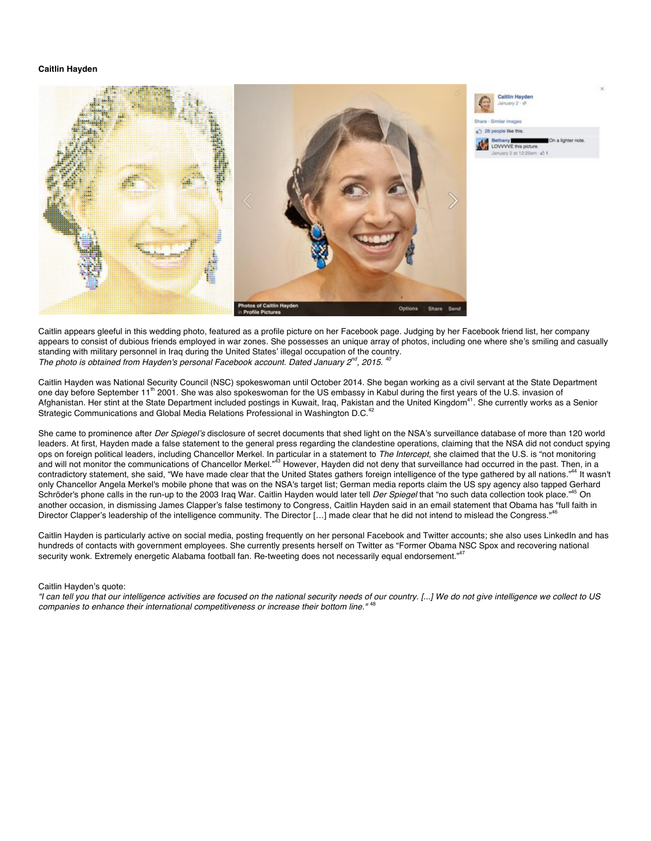# **Caitlin Hayden**



Caitlin appears gleeful in this wedding photo, featured as a profile picture on her Facebook page. Judging by her Facebook friend list, her company appears to consist of dubious friends employed in war zones. She possesses an unique array of photos, including one where she's smiling and casually standing with military personnel in Iraq during the United States' illegal occupation of the country. *The photo is obtained from Hayden's personal Facebook account. Dated January 2nd, 2015. 40*

Caitlin Hayden was National Security Council (NSC) spokeswoman until October 2014. She began working as a civil servant at the State Department one day before September 11<sup>th</sup> 2001. She was also spokeswoman for the US embassy in Kabul during the first years of the U.S. invasion of Afghanistan. Her stint at the State Department included postings in Kuwait, Iraq, Pakistan and the United Kingdom<sup>41</sup>. She currently works as a Senior Strategic Communications and Global Media Relations Professional in Washington D.C.<sup>42</sup>

She came to prominence after *Der Spiegel's* disclosure of secret documents that shed light on the NSA's surveillance database of more than 120 world leaders. At first, Hayden made a false statement to the general press regarding the clandestine operations, claiming that the NSA did not conduct spying ops on foreign political leaders, including Chancellor Merkel. In particular in a statement to *The Intercept*, she claimed that the U.S. is "not monitoring<br>and will not monitor the communications of Chancellor Merkel."<sup>43</sup> contradictory statement, she said, "We have made clear that the United States gathers foreign intelligence of the type gathered by all nations."<sup>44</sup> It wasn't only Chancellor Angela Merkel's mobile phone that was on the NSA's target list; German media reports claim the US spy agency also tapped Gerhard Schröder's phone calls in the run-up to the 2003 Iraq War. Caitlin Hayden would later tell *Der Spiegel* that "no such data collection took place."45 On another occasion, in dismissing James Clapper's false testimony to Congress, Caitlin Hayden said in an email statement that Obama has "full faith in Director Clapper's leadership of the intelligence community. The Director [...] made clear that he did not intend to mislead the Congress."

Caitlin Hayden is particularly active on social media, posting frequently on her personal Facebook and Twitter accounts; she also uses LinkedIn and has hundreds of contacts with government employees. She currently presents herself on Twitter as "Former Obama NSC Spox and recovering national security wonk. Extremely energetic Alabama football fan. Re-tweeting does not necessarily equal endorsement."

#### Caitlin Hayden's quote:

*"I can tell you that our intelligence activities are focused on the national security needs of our country. [...] We do not give intelligence we collect to US*  companies to enhance their international competitiveness or increase their bottom line."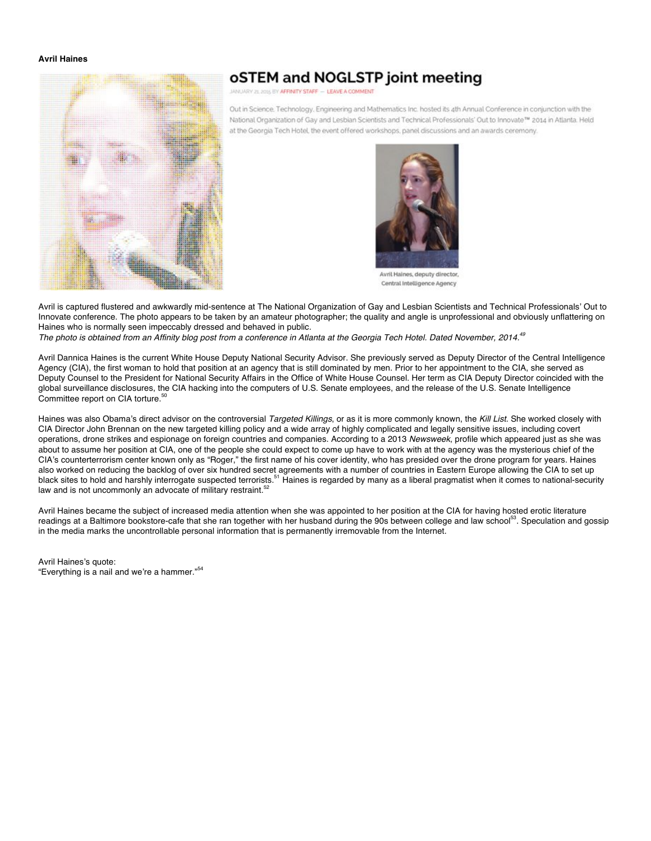# **Avril Haines**



# oSTEM and NOGLSTP joint meeting

JANUARY 21, 2015 BY AFFINITY STAFF - LEAVE A COMMENT

Out in Science. Technology. Engineering and Mathematics Inc. hosted its 4th Annual Conference in conjunction with the National Organization of Gay and Lesbian Scientists and Technical Professionals' Out to Innovate™ 2014 in Atlanta. Held at the Georgia Tech Hotel, the event offered workshops, panel discussions and an awards ceremony.



Central Intelligence Agency

Avril is captured flustered and awkwardly mid-sentence at The National Organization of Gay and Lesbian Scientists and Technical Professionals' Out to Innovate conference. The photo appears to be taken by an amateur photographer; the quality and angle is unprofessional and obviously unflattering on Haines who is normally seen impeccably dressed and behaved in public.

*The photo is obtained from an Affinity blog post from a conference in Atlanta at the Georgia Tech Hotel. Dated November, 2014.49*

Avril Dannica Haines is the current White House Deputy National Security Advisor. She previously served as Deputy Director of the Central Intelligence Agency (CIA), the first woman to hold that position at an agency that is still dominated by men. Prior to her appointment to the CIA, she served as Deputy Counsel to the President for National Security Affairs in the Office of White House Counsel. Her term as CIA Deputy Director coincided with the global surveillance disclosures, the CIA hacking into the computers of U.S. Senate employees, and the release of the U.S. Senate Intelligence Committee report on CIA torture.<sup>5</sup>

Haines was also Obama's direct advisor on the controversial *Targeted Killings*, or as it is more commonly known, the *Kill List*. She worked closely with CIA Director John Brennan on the new targeted killing policy and a wide array of highly complicated and legally sensitive issues, including covert operations, drone strikes and espionage on foreign countries and companies. According to a 2013 *Newsweek*, profile which appeared just as she was about to assume her position at CIA, one of the people she could expect to come up have to work with at the agency was the mysterious chief of the CIA's counterterrorism center known only as "Roger," the first name of his cover identity, who has presided over the drone program for years. Haines also worked on reducing the backlog of over six hundred secret agreements with a number of countries in Eastern Europe allowing the CIA to set up black sites to hold and harshly interrogate suspected terrorists.<sup>51</sup> Haines is regarded by many as a liberal pragmatist when it comes to national-security law and is not uncommonly an advocate of military restraint.<sup>52</sup>

Avril Haines became the subject of increased media attention when she was appointed to her position at the CIA for having hosted erotic literature readings at a Baltimore bookstore-cafe that she ran together with her husband during the 90s between college and law school<sup>53</sup>. Speculation and gossip in the media marks the uncontrollable personal information that is permanently irremovable from the Internet.

Avril Haines's quote: "Everything is a nail and we're a hammer."<sup>54</sup>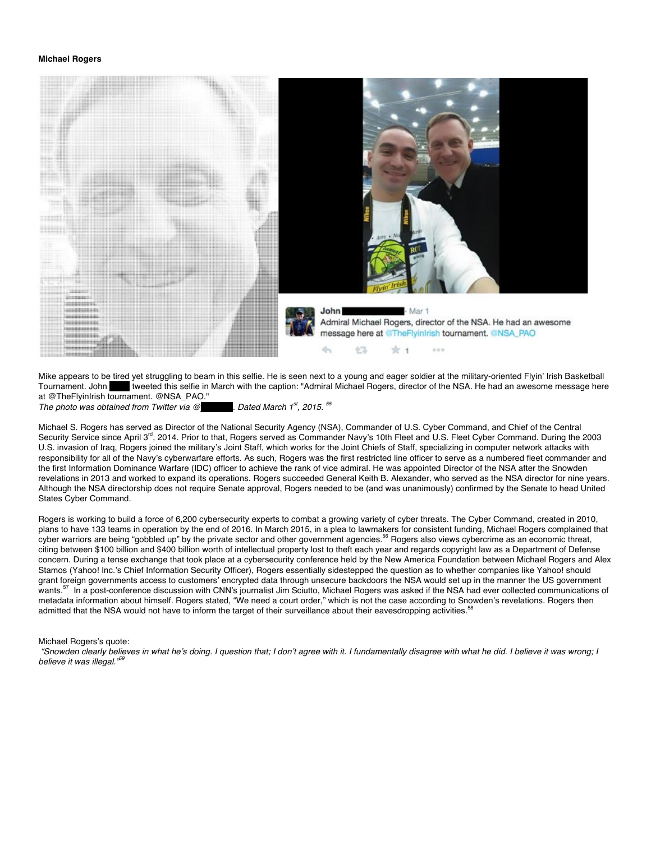#### **Michael Rogers**

![](_page_6_Picture_1.jpeg)

Mike appears to be tired yet struggling to beam in this selfie. He is seen next to a young and eager soldier at the military-oriented Flyin' Irish Basketball Tournament. John Weeted this selfie in March with the caption: "Admiral Michael Rogers, director of the NSA. He had an awesome message here at @TheFlyinIrish tournament. @NSA\_PAO."

*The photo was obtained from Twitter via @<sub>pp</sub> . Dated March 1<sup>st</sup>, 2015. <sup>55</sup></sup>* 

Michael S. Rogers has served as Director of the National Security Agency (NSA), Commander of U.S. Cyber Command, and Chief of the Central Security Service since April 3<sup>rd</sup>, 2014. Prior to that, Rogers served as Commander Navy's 10th Fleet and U.S. Fleet Cyber Command. During the 2003 U.S. invasion of Iraq, Rogers joined the military's Joint Staff, which works for the Joint Chiefs of Staff, specializing in computer network attacks with responsibility for all of the Navy's cyberwarfare efforts. As such, Rogers was the first restricted line officer to serve as a numbered fleet commander and the first Information Dominance Warfare (IDC) officer to achieve the rank of vice admiral. He was appointed Director of the NSA after the Snowden revelations in 2013 and worked to expand its operations. Rogers succeeded General Keith B. Alexander, who served as the NSA director for nine years. Although the NSA directorship does not require Senate approval, Rogers needed to be (and was unanimously) confirmed by the Senate to head United States Cyber Command.

Rogers is working to build a force of 6,200 cybersecurity experts to combat a growing variety of cyber threats. The Cyber Command, created in 2010, plans to have 133 teams in operation by the end of 2016. In March 2015, in a plea to lawmakers for consistent funding, Michael Rogers complained that cyber warriors are being "gobbled up" by the private sector and other government agencies.<sup>56</sup> Rogers also views cybercrime as an economic threat, citing between \$100 billion and \$400 billion worth of intellectual property lost to theft each year and regards copyright law as a Department of Defense concern. During a tense exchange that took place at a cybersecurity conference held by the New America Foundation between Michael Rogers and Alex Stamos (Yahoo! Inc.'s Chief Information Security Officer), Rogers essentially sidestepped the question as to whether companies like Yahoo! should grant foreign governments access to customers' encrypted data through unsecure backdoors the NSA would set up in the manner the US government wants.<sup>57</sup> In a post-conference discussion with CNN's journalist Jim Sciutto, Michael Rogers was asked if the NSA had ever collected communications of metadata information about himself. Rogers stated, "We need a court order," which is not the case according to Snowden's revelations. Rogers then admitted that the NSA would not have to inform the target of their surveillance about their eavesdropping activities.<sup>5</sup>

Michael Rogers's quote:

*"Snowden clearly believes in what he's doing. I question that; I don't agree with it. I fundamentally disagree with what he did. I believe it was wrong; I believe it was illegal.*"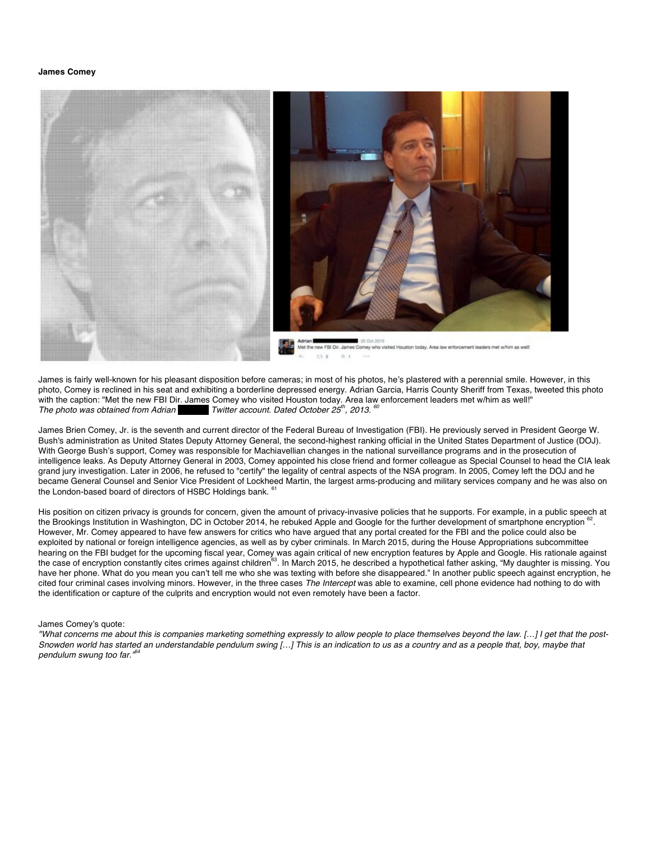#### **James Comey**

![](_page_7_Picture_1.jpeg)

James is fairly well-known for his pleasant disposition before cameras; in most of his photos, he's plastered with a perennial smile. However, in this photo, Comey is reclined in his seat and exhibiting a borderline depressed energy. Adrian Garcia, Harris County Sheriff from Texas, tweeted this photo with the caption: "Met the new FBI Dir. James Comey who visited Houston today. Area law enforcement leaders met w/him as well!"<br>The photo was obtained from Adrian Twitter account. Dated October 25<sup>th</sup>, 2013. <sup>60</sup> *Twitter account. Dated October 25<sup>th</sup>, 2013.* 

James Brien Comey, Jr. is the seventh and current director of the Federal Bureau of Investigation (FBI). He previously served in President George W. Bush's administration as United States Deputy Attorney General, the second-highest ranking official in the United States Department of Justice (DOJ). With George Bush's support, Comey was responsible for Machiavellian changes in the national surveillance programs and in the prosecution of intelligence leaks. As Deputy Attorney General in 2003, Comey appointed his close friend and former colleague as Special Counsel to head the CIA leak grand jury investigation. Later in 2006, he refused to "certify" the legality of central aspects of the NSA program. In 2005, Comey left the DOJ and he became General Counsel and Senior Vice President of Lockheed Martin, the largest arms-producing and military services company and he was also on the London-based board of directors of HSBC Holdings bank. <sup>6</sup>

His position on citizen privacy is grounds for concern, given the amount of privacy-invasive policies that he supports. For example, in a public speech at the Brookings Institution in Washington, DC in October 2014, he rebuked Apple and Google for the further development of smartphone encryption <sup>62</sup>. However, Mr. Comey appeared to have few answers for critics who have argued that any portal created for the FBI and the police could also be exploited by national or foreign intelligence agencies, as well as by cyber criminals. In March 2015, during the House Appropriations subcommittee hearing on the FBI budget for the upcoming fiscal year, Comey was again critical of new encryption features by Apple and Google. His rationale against the case of encryption constantly cites crimes against children<sup>63</sup>. In March 2015, he described a hypothetical father asking, "My daughter is missing. You have her phone. What do you mean you can't tell me who she was texting with before she disappeared." In another public speech against encryption, he cited four criminal cases involving minors. However, in the three cases *The Intercept* was able to examine, cell phone evidence had nothing to do with the identification or capture of the culprits and encryption would not even remotely have been a factor.

#### James Comey's quote:

*"What concerns me about this is companies marketing something expressly to allow people to place themselves beyond the law. […] I get that the post-Snowden world has started an understandable pendulum swing […] This is an indication to us as a country and as a people that, boy, maybe that pendulum swung too far."64*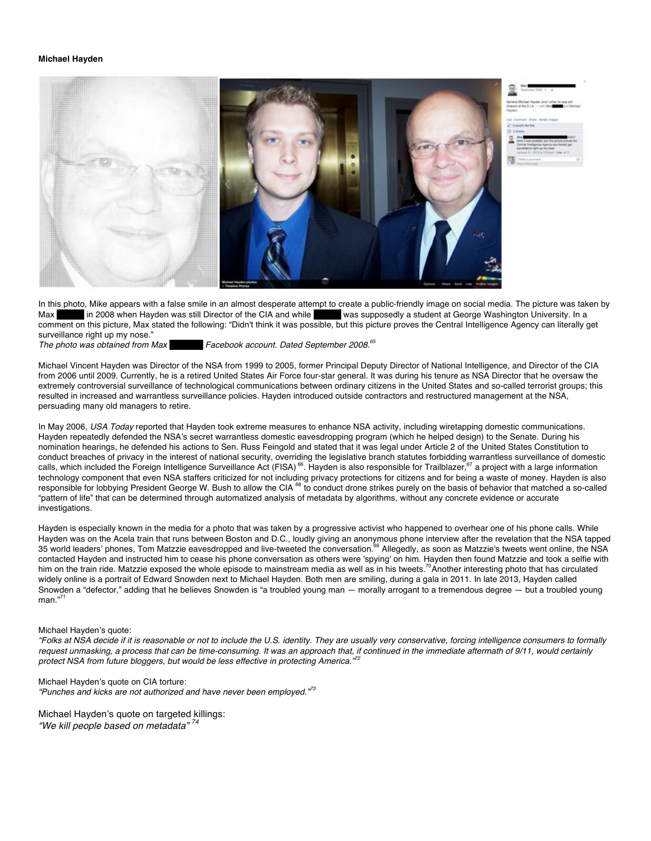#### **Michael Hayden**

![](_page_8_Picture_1.jpeg)

In this photo, Mike appears with a false smile in an almost desperate attempt to create a public-friendly image on social media. The picture was taken by Max in 2008 when Hayden was still Director of the CIA and while was Max Barnett in 2008 when Hayden was still Director of the CIA and while comment on this picture, Max stated the following: "Didn't think it was possible, but this picture proves the Central Intelligence Agency can literally get surveillance right up my nose."<br>The photo was obtained from Max

*The photo was obtained from Max Barnett's Facebook account. Dated September 2008.65*

Michael Vincent Hayden was Director of the NSA from 1999 to 2005, former Principal Deputy Director of National Intelligence, and Director of the CIA from 2006 until 2009. Currently, he is a retired United States Air Force four-star general. It was during his tenure as NSA Director that he oversaw the extremely controversial surveillance of technological communications between ordinary citizens in the United States and so-called terrorist groups; this resulted in increased and warrantless surveillance policies. Hayden introduced outside contractors and restructured management at the NSA, persuading many old managers to retire.

In May 2006, *USA Today* reported that Hayden took extreme measures to enhance NSA activity, including wiretapping domestic communications. Hayden repeatedly defended the NSA's secret warrantless domestic eavesdropping program (which he helped design) to the Senate. During his nomination hearings, he defended his actions to Sen. Russ Feingold and stated that it was legal under Article 2 of the United States Constitution to conduct breaches of privacy in the interest of national security, overriding the legislative branch statutes forbidding warrantless surveillance of domestic calls, which included the Foreign Intelligence Surveillance Act (FISA)<sup>66</sup>. Hayden is also responsible for Trailblazer,<sup>67</sup> a project with a large information technology component that even NSA staffers criticized for not including privacy protections for citizens and for being a waste of money. Hayden is also responsible for lobbying President George W. Bush to allow the CIA<sup>88</sup> to conduct drone strikes purely on the basis of behavior that matched a so-called "pattern of life" that can be determined through automatized analysis of metadata by algorithms, without any concrete evidence or accurate investigations.

Hayden is especially known in the media for a photo that was taken by a progressive activist who happened to overhear one of his phone calls. While Hayden was on the Acela train that runs between Boston and D.C., loudly giving an anonymous phone interview after the revelation that the NSA tapped 35 world leaders' phones, Tom Matzzie eavesdropped and live-tweeted the conversation.<sup>69</sup> Allegedly, as soon as Matzzie's tweets went online, the NSA contacted Hayden and instructed him to cease his phone conversation as others were 'spying' on him. Hayden then found Matzzie and took a selfie with him on the train ride. Matzzie exposed the whole episode to mainstream media as well as in his tweets.<sup>70</sup>Another interesting photo that has circulated widely online is a portrait of Edward Snowden next to Michael Hayden. Both men are smiling, during a gala in 2011. In late 2013, Hayden called Snowden a "defector," adding that he believes Snowden is "a troubled young man — morally arrogant to a tremendous degree — but a troubled young  $man.<sup>71</sup>$ 

# Michael Hayden's quote:

*"Folks at NSA decide if it is reasonable or not to include the U.S. identity. They are usually very conservative, forcing intelligence consumers to formally*  request unmasking, a process that can be time-consuming. It was an approach that, if continued in the immediate aftermath of 9/11, would certainly *protect NSA from future bloggers, but would be less effective in protecting America."72*

Michael Hayden's quote on CIA torture: *"Punches and kicks are not authorized and have never been employed."<sup>73</sup>*

Michael Hayden's quote on targeted killings: *"We kill people based on metadata" <sup>74</sup>*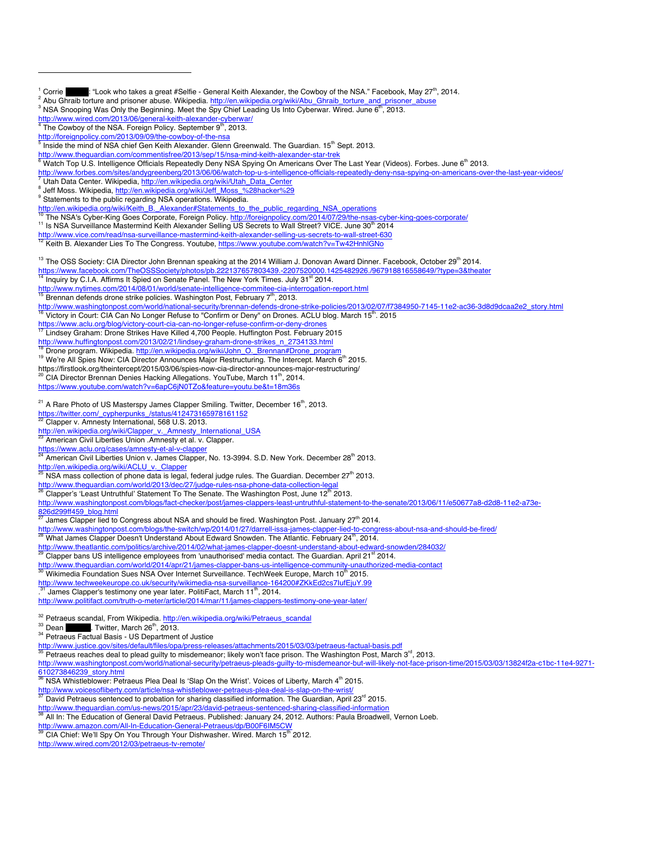- <sup>1</sup> Corrie **Conservant**: "Look who takes a great #Selfie General Keith Alexander, the Cowboy of the NSA." Facebook, May 27<sup>th</sup>, 2014.<br>
<sup>2</sup> Abu Ghraib torture and prisoner abuse. Wikipedia. http://en.wikipedia.org/wiki/A
- 
- 
- The Cowboy of the NSA. Foreign Policy. September 9<sup>th</sup>, 2013.
- 

 $\overline{a}$ 

- http://foreignpolicy.com/2013/09/09/the-cowboy-of-the-nsa<br><sup>5</sup> Inside the mind of NSA chief Gen Keith Alexander. Glenn Greenwald. The Guardian. 15<sup>th</sup> Sept. 2013.<br>http://www.thequardian.com/commentisfree/2013/sep/15/nsa-min
- 
- $\frac{6}{6}$  Watch Top U.S. Intelligence Officials Repeatedly Deny NSA Spying On Americans Over The Last Year (Videos). Forbes. June 6<sup>th</sup> 2013.
- http://www.forbes.com/sites/andygreenberg/2013/06/06/watch-top-u-s-intelligence-officials-repeatedly-deny-nsa-spying-on-americans-over-the-last-year-videos/<br>7 Utah Data Center. Wikipedia, http://en.wikipedia.org/wiki/Utah\_
- 
- <sup>8</sup> Jeff Moss. Wikipedia, http://en.wikipedia.org/wiki/Jeff\_Moss\_%28hacker%29 9 Statements to the public regarding NSA operations. Wikipedia.

- 
- http://en.wikipedia.org/wiki/Keith\_B.\_Alexander#Statements\_to\_the\_public\_regarding\_NSA\_operations<br><sup>16</sup> The NSA's Cyber-King Goes Corporate, Foreign Policy. http://foreignpolicy.com/2014/07/29/the-nsas-cyber-king-goes-corpo
- <sup>11</sup> Is NSA Surveillance Mastermind Keith Alexander Selling US Secrets to Wall Street? VICE. June 30<sup>th</sup> 2014<br>http://www.vice.com/read/nsa-surveillance-mastermind-keith-alexander-selling-us-secrets-to-wall-street-630
- 
- http://www.vice.com/read/nsa-surveillance-mastermine-mastermine-secrets-to-wall-street-630 12 Keith B. Alexander Lies To The Congress. Youtube, https://www.youtube.com/watch?v=Tw42HnhlGNo
- <sup>13</sup> The OSS Society: CIA Director John Brennan speaking at the 2014 William J. Donovan Award Dinner. Facebook, October 29<sup>th</sup> 2014.

https://www.facebook.com/TheOSSSociety/photos/pb.222137657803439.-2207520000.1425482926./967918816558649/?type=3&theater <sup>14</sup> Inquiry by C.I.A. Affirms It Spied on Senate Panel. The New York Times. July 31<sup>st</sup> 2014.

- 
- http://www.nytimes.com/2014/08/01/world/senate-intelligence-commitee-cia-interrogation-report.html 15 Brennan defends drone strike policies. Washington Post, February 7th, February 7th, February 7th, February 7th, 2013. 20
- 

15 Brennan defends drone strike policies. Washington Post, February 7<sup>16</sup>, 2013.<br>http://www.washingtonpost.com/world/national-security/brennan-defends-drone-strike-policies/2013/02/07/f7384950-7145-11e2-ac36-3d8d9dcaa2e2\_s

https://www.aclu.org/blog/victory-court-cia-can-no-longer-refuse-confirm-or-deny-drones<br><sup>17</sup> Lindsey Graham: Drone Strikes Have Killed 4,700 People. Huffington Post. February 2015<br>http://www.huffingtonpost.com/2013/02/21/l

- 
- 
- <sup>18</sup> Drone program. Wikipedia. http://en.wikipedia.org/wiki/John\_O. Brennan#Drone\_program<br><sup>19</sup> We're All Spies Now: CIA Director Announces Major Restructuring. The Intercept. March 6<sup>th</sup> 2015.<br>https://firstlook.org/theinte
- 
- CIA Director Brennan Denies Hacking Allegations. YouTube, March 11<sup>th</sup>, 2014.
- https://www.youtube.com/watch?v=6apC6jN0TZo&feature=youtu.be&t=18m36s
- <sup>21</sup> A Rare Photo of US Masterspy James Clapper Smiling. Twitter, December 16<sup>th</sup>, 2013.
- https://twitter.com/\_cypherpunks\_/status/412473165978161152
- <sup>22</sup> Clapper v. Amnesty International, 568 U.S. 2013.
- http://en.wikipedia.org/wiki/Clapper\_v.\_Amnesty\_International\_USA<br><sup>23</sup> American Civil Liberties Union .Amnesty et al. v. Clapper.
- 
- 
- https://www.aclu.org/cases/amnesty-et-al-v-clapper<br><sup>24</sup> American Civil Liberties Union v. James Clapper, No. 13-3994. S.D. New York. December 28<sup>th</sup> 2013.
- http://en.wikipedia.org/wiki/ACLU\_v.\_Clapper
- NSA mass collection of phone data is legal, federal judge rules. The Guardian. December 27<sup>th</sup> 2013.
- 
- http://www.theguardian.com/world/2013/dec/27/judge-rules-nsa-phone-data-collection-legal<br>26 Clapper's 'Least Untruthful' Statement To The Senate. The Washington Post, June 12<sup>th</sup> 2013.
- http://www.washingtonpost.com/blogs/fact-checker/post/james-clappers-least-untruthful-statement-to-the-senate/2013/06/11/e50677a8-d2d8-11e2-a73e-<br>826d299ff459\_blog.html
- 
- James Clapper lied to Congress about NSA and should be fired. Washington Post. January 27<sup>th</sup> 2014.
- http://www.washingtonpost.com/blogs/the-switch/wp/2014/01/27/darrell-issa-james-clapper-lied-to-congress-about-nsa-and-should-be-fired/<br><sup>28</sup> What James Clapper Doesn't Understand About Edward Snowden. The Atlantic. Februar
- 
- http://www.theatlantic.com/politics/archive/2014/02/what-james-clapper-doesnt-understand-about-edward-snowden/284032/<br><sup>29</sup> Clapper bans US intelligence employees from 'unauthorised' media contact. The Guardian. April 21<sup>st</sup>
- 
- http://www.theguardian.com/world/2014/apr/21/james-clapper-bans-us-intelligence-community-unauthorized-media-contact<br><sup>30</sup> Wikimedia Foundation Sues NSA Over Internet Surveillance. TechWeek Europe, March 10<sup>th</sup> 2015.
- 
- http://www.techweekeurope.co.uk/security/wikimedia-nsa-surveillance-164200#ZKkEd2cs7IufEjuY.99
- . James Clapper's testimony one year later. PolitiFact, March 11<sup>th</sup>, 2014.
- http://www.politifact.com/truth-o-meter/article/2014/mar/11/james-clappers-testimony-one-year-later/
- <sup>32</sup> Petraeus scandal, From Wikipedia. http://en.wikipedia.org/wiki/Petraeus\_scandal<br><sup>33</sup> Dean **Canadal Exercise 1. Twitter**, March 26<sup>th</sup>, 2013.
- 
- <sup>34</sup> Petraeus Factual Basis US Department of Justice
- 
- http://www.justice.gov/sites/default/files/opa/press-releases/attachments/2015/03/03/petraeus-factual-basis.pdf<br><sup>35</sup> Petraeus reaches deal to plead guilty to misdemeanor; likely won't face prison. The Washington Post, Marc
- http://www.washingtonpost.com/world/national-security/petraeus-pleads-guilty-to-misdemeanor-but-will-likely-not-face-prison-time/2015/03/03/13824f2a-c1bc-11e4-9271-
- 

<u>610273846239\_story.html</u><br><sup>36</sup> NSA Whistleblower: Petraeus Plea Deal Is 'Slap On the Wrist'. Voices of Liberty, March 4<sup>th</sup> 2015.

- http://www.voicesofliberty.com/article/nsa-whistleblower-petraeus-plea-deal-is-slap-on-the-wrist/<br><sup>37</sup> David Petraeus sentenced to probation for sharing classified information. The Guardian, April 23<sup>rd</sup> 2015.
- 
- http://www.theguardian.com/us-news/2015/apr/23/david-petraeus-sentenced-sharing-classified-information 38 All In: The Education of General David Petraeus. Published: January 24, 2012. Authors: Paula Broadwell, Vernon Loeb.

http://www.amazon.com/All-In-Education-General-Petraeus/dp/B00F6IM5CW <sup>39</sup> CIA Chief: We'll Spy On You Through Your Dishwasher. Wired. March 15th 2012.

http://www.wired.com/2012/03/petraeus-tv-remote/